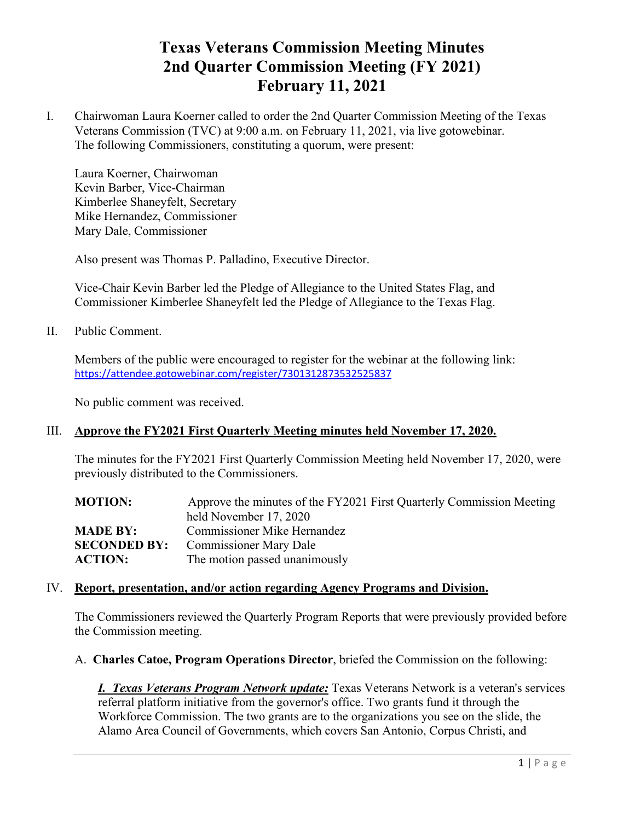# **Texas Veterans Commission Meeting Minutes 2nd Quarter Commission Meeting (FY 2021) February 11, 2021**

I. Chairwoman Laura Koerner called to order the 2nd Quarter Commission Meeting of the Texas Veterans Commission (TVC) at 9:00 a.m. on February 11, 2021, via live gotowebinar. The following Commissioners, constituting a quorum, were present:

Laura Koerner, Chairwoman Kevin Barber, Vice-Chairman Kimberlee Shaneyfelt, Secretary Mike Hernandez, Commissioner Mary Dale, Commissioner

Also present was Thomas P. Palladino, Executive Director.

Vice-Chair Kevin Barber led the Pledge of Allegiance to the United States Flag, and Commissioner Kimberlee Shaneyfelt led the Pledge of Allegiance to the Texas Flag.

II. Public Comment.

Members of the public were encouraged to register for the webinar at the following link: <https://attendee.gotowebinar.com/register/7301312873532525837>

No public comment was received.

# III. **Approve the FY2021 First Quarterly Meeting minutes held November 17, 2020.**

The minutes for the FY2021 First Quarterly Commission Meeting held November 17, 2020, were previously distributed to the Commissioners.

| <b>MOTION:</b>      | Approve the minutes of the FY2021 First Quarterly Commission Meeting |
|---------------------|----------------------------------------------------------------------|
|                     | held November 17, 2020                                               |
| <b>MADE BY:</b>     | <b>Commissioner Mike Hernandez</b>                                   |
| <b>SECONDED BY:</b> | <b>Commissioner Mary Dale</b>                                        |
| <b>ACTION:</b>      | The motion passed unanimously                                        |

#### IV. **Report, presentation, and/or action regarding Agency Programs and Division.**

The Commissioners reviewed the Quarterly Program Reports that were previously provided before the Commission meeting.

A. **Charles Catoe, Program Operations Director**, briefed the Commission on the following:

*I. Texas Veterans Program Network update:* Texas Veterans Network is a veteran's services referral platform initiative from the governor's office. Two grants fund it through the Workforce Commission. The two grants are to the organizations you see on the slide, the Alamo Area Council of Governments, which covers San Antonio, Corpus Christi, and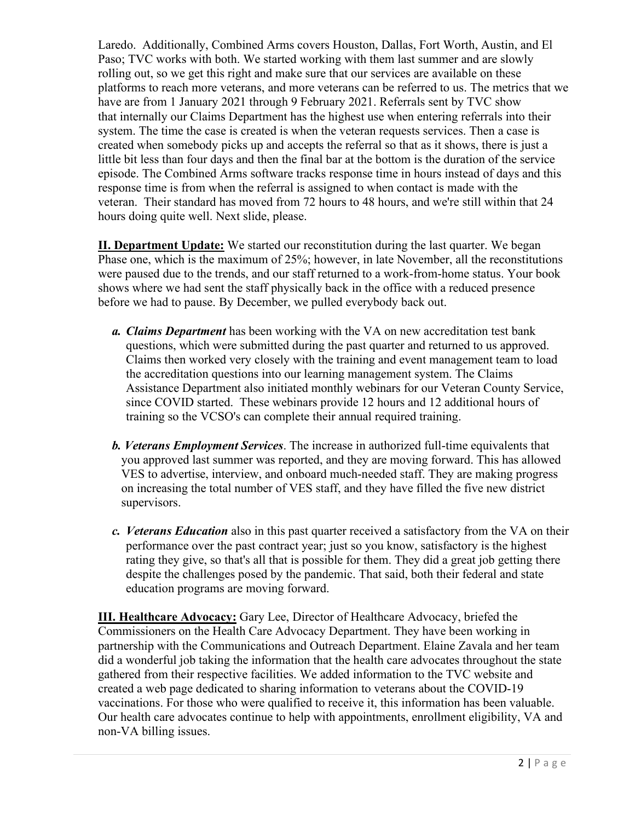Laredo. Additionally, Combined Arms covers Houston, Dallas, Fort Worth, Austin, and El Paso; TVC works with both. We started working with them last summer and are slowly rolling out, so we get this right and make sure that our services are available on these platforms to reach more veterans, and more veterans can be referred to us. The metrics that we have are from 1 January 2021 through 9 February 2021. Referrals sent by TVC show that internally our Claims Department has the highest use when entering referrals into their system. The time the case is created is when the veteran requests services. Then a case is created when somebody picks up and accepts the referral so that as it shows, there is just a little bit less than four days and then the final bar at the bottom is the duration of the service episode. The Combined Arms software tracks response time in hours instead of days and this response time is from when the referral is assigned to when contact is made with the veteran. Their standard has moved from 72 hours to 48 hours, and we're still within that 24 hours doing quite well. Next slide, please.

**II. Department Update:** We started our reconstitution during the last quarter. We began Phase one, which is the maximum of 25%; however, in late November, all the reconstitutions were paused due to the trends, and our staff returned to a work-from-home status. Your book shows where we had sent the staff physically back in the office with a reduced presence before we had to pause. By December, we pulled everybody back out.

- *a. Claims Department* has been working with the VA on new accreditation test bank questions, which were submitted during the past quarter and returned to us approved. Claims then worked very closely with the training and event management team to load the accreditation questions into our learning management system. The Claims Assistance Department also initiated monthly webinars for our Veteran County Service, since COVID started. These webinars provide 12 hours and 12 additional hours of training so the VCSO's can complete their annual required training.
- *b. Veterans Employment Services*. The increase in authorized full-time equivalents that you approved last summer was reported, and they are moving forward. This has allowed VES to advertise, interview, and onboard much-needed staff. They are making progress on increasing the total number of VES staff, and they have filled the five new district supervisors.
- *c. Veterans Education* also in this past quarter received a satisfactory from the VA on their performance over the past contract year; just so you know, satisfactory is the highest rating they give, so that's all that is possible for them. They did a great job getting there despite the challenges posed by the pandemic. That said, both their federal and state education programs are moving forward.

**III. Healthcare Advocacy:** Gary Lee, Director of Healthcare Advocacy, briefed the Commissioners on the Health Care Advocacy Department. They have been working in partnership with the Communications and Outreach Department. Elaine Zavala and her team did a wonderful job taking the information that the health care advocates throughout the state gathered from their respective facilities. We added information to the TVC website and created a web page dedicated to sharing information to veterans about the COVID-19 vaccinations. For those who were qualified to receive it, this information has been valuable. Our health care advocates continue to help with appointments, enrollment eligibility, VA and non-VA billing issues.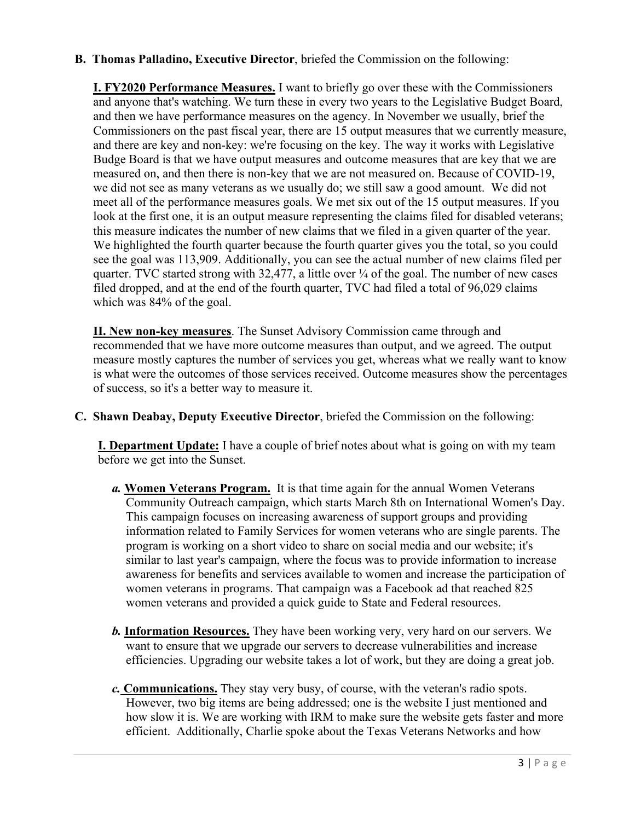**B. Thomas Palladino, Executive Director**, briefed the Commission on the following:

**I. FY2020 Performance Measures.** I want to briefly go over these with the Commissioners and anyone that's watching. We turn these in every two years to the Legislative Budget Board, and then we have performance measures on the agency. In November we usually, brief the Commissioners on the past fiscal year, there are 15 output measures that we currently measure, and there are key and non-key: we're focusing on the key. The way it works with Legislative Budge Board is that we have output measures and outcome measures that are key that we are measured on, and then there is non-key that we are not measured on. Because of COVID-19, we did not see as many veterans as we usually do; we still saw a good amount. We did not meet all of the performance measures goals. We met six out of the 15 output measures. If you look at the first one, it is an output measure representing the claims filed for disabled veterans; this measure indicates the number of new claims that we filed in a given quarter of the year. We highlighted the fourth quarter because the fourth quarter gives you the total, so you could see the goal was 113,909. Additionally, you can see the actual number of new claims filed per quarter. TVC started strong with  $32,477$ , a little over  $\frac{1}{4}$  of the goal. The number of new cases filed dropped, and at the end of the fourth quarter, TVC had filed a total of 96,029 claims which was 84% of the goal.

**II. New non-key measures**. The Sunset Advisory Commission came through and recommended that we have more outcome measures than output, and we agreed. The output measure mostly captures the number of services you get, whereas what we really want to know is what were the outcomes of those services received. Outcome measures show the percentages of success, so it's a better way to measure it.

**C. Shawn Deabay, Deputy Executive Director**, briefed the Commission on the following:

**I. Department Update:** I have a couple of brief notes about what is going on with my team before we get into the Sunset.

- *a.* **Women Veterans Program.** It is that time again for the annual Women Veterans Community Outreach campaign, which starts March 8th on International Women's Day. This campaign focuses on increasing awareness of support groups and providing information related to Family Services for women veterans who are single parents. The program is working on a short video to share on social media and our website; it's similar to last year's campaign, where the focus was to provide information to increase awareness for benefits and services available to women and increase the participation of women veterans in programs. That campaign was a Facebook ad that reached 825 women veterans and provided a quick guide to State and Federal resources.
- *b.* **Information Resources.** They have been working very, very hard on our servers. We want to ensure that we upgrade our servers to decrease vulnerabilities and increase efficiencies. Upgrading our website takes a lot of work, but they are doing a great job.
- *c.* **Communications.** They stay very busy, of course, with the veteran's radio spots. However, two big items are being addressed; one is the website I just mentioned and how slow it is. We are working with IRM to make sure the website gets faster and more efficient. Additionally, Charlie spoke about the Texas Veterans Networks and how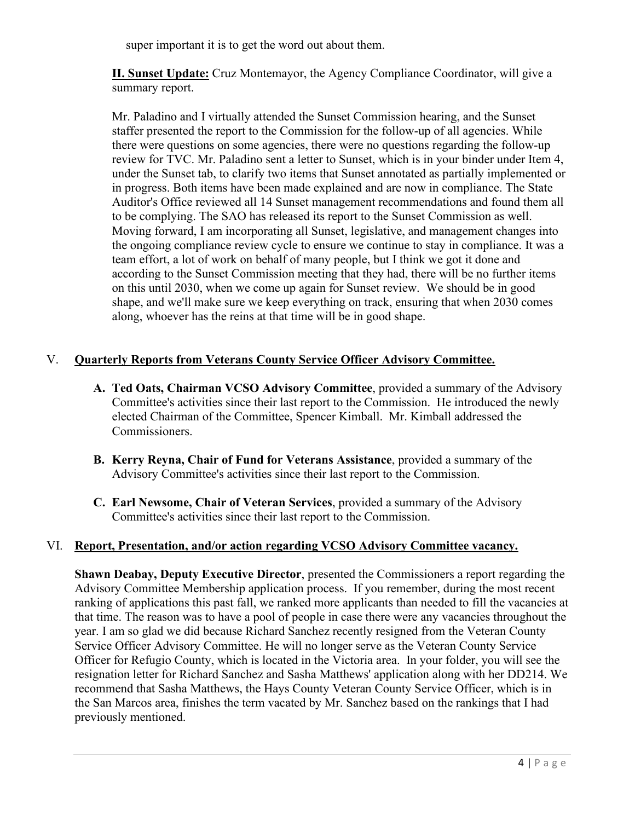super important it is to get the word out about them.

**II. Sunset Update:** Cruz Montemayor, the Agency Compliance Coordinator, will give a summary report.

Mr. Paladino and I virtually attended the Sunset Commission hearing, and the Sunset staffer presented the report to the Commission for the follow-up of all agencies. While there were questions on some agencies, there were no questions regarding the follow-up review for TVC. Mr. Paladino sent a letter to Sunset, which is in your binder under Item 4, under the Sunset tab, to clarify two items that Sunset annotated as partially implemented or in progress. Both items have been made explained and are now in compliance. The State Auditor's Office reviewed all 14 Sunset management recommendations and found them all to be complying. The SAO has released its report to the Sunset Commission as well. Moving forward, I am incorporating all Sunset, legislative, and management changes into the ongoing compliance review cycle to ensure we continue to stay in compliance. It was a team effort, a lot of work on behalf of many people, but I think we got it done and according to the Sunset Commission meeting that they had, there will be no further items on this until 2030, when we come up again for Sunset review. We should be in good shape, and we'll make sure we keep everything on track, ensuring that when 2030 comes along, whoever has the reins at that time will be in good shape.

# V. **Quarterly Reports from Veterans County Service Officer Advisory Committee.**

- **A. Ted Oats, Chairman VCSO Advisory Committee**, provided a summary of the Advisory Committee's activities since their last report to the Commission. He introduced the newly elected Chairman of the Committee, Spencer Kimball. Mr. Kimball addressed the Commissioners.
- **B. Kerry Reyna, Chair of Fund for Veterans Assistance**, provided a summary of the Advisory Committee's activities since their last report to the Commission.
- **C. Earl Newsome, Chair of Veteran Services**, provided a summary of the Advisory Committee's activities since their last report to the Commission.

# VI. **Report, Presentation, and/or action regarding VCSO Advisory Committee vacancy.**

**Shawn Deabay, Deputy Executive Director**, presented the Commissioners a report regarding the Advisory Committee Membership application process. If you remember, during the most recent ranking of applications this past fall, we ranked more applicants than needed to fill the vacancies at that time. The reason was to have a pool of people in case there were any vacancies throughout the year. I am so glad we did because Richard Sanchez recently resigned from the Veteran County Service Officer Advisory Committee. He will no longer serve as the Veteran County Service Officer for Refugio County, which is located in the Victoria area. In your folder, you will see the resignation letter for Richard Sanchez and Sasha Matthews' application along with her DD214. We recommend that Sasha Matthews, the Hays County Veteran County Service Officer, which is in the San Marcos area, finishes the term vacated by Mr. Sanchez based on the rankings that I had previously mentioned.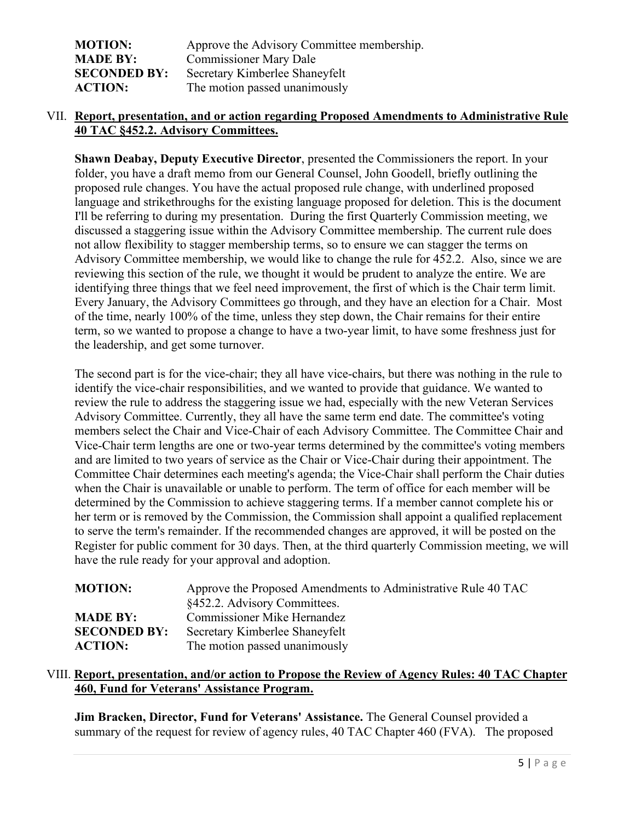| <b>MOTION:</b>      | Approve the Advisory Committee membership. |
|---------------------|--------------------------------------------|
| <b>MADE BY:</b>     | <b>Commissioner Mary Dale</b>              |
| <b>SECONDED BY:</b> | Secretary Kimberlee Shaneyfelt             |
| <b>ACTION:</b>      | The motion passed unanimously              |

# VII. **Report, presentation, and or action regarding Proposed Amendments to Administrative Rule 40 TAC §452.2. Advisory Committees.**

**Shawn Deabay, Deputy Executive Director**, presented the Commissioners the report. In your folder, you have a draft memo from our General Counsel, John Goodell, briefly outlining the proposed rule changes. You have the actual proposed rule change, with underlined proposed language and strikethroughs for the existing language proposed for deletion. This is the document I'll be referring to during my presentation. During the first Quarterly Commission meeting, we discussed a staggering issue within the Advisory Committee membership. The current rule does not allow flexibility to stagger membership terms, so to ensure we can stagger the terms on Advisory Committee membership, we would like to change the rule for 452.2. Also, since we are reviewing this section of the rule, we thought it would be prudent to analyze the entire. We are identifying three things that we feel need improvement, the first of which is the Chair term limit. Every January, the Advisory Committees go through, and they have an election for a Chair. Most of the time, nearly 100% of the time, unless they step down, the Chair remains for their entire term, so we wanted to propose a change to have a two-year limit, to have some freshness just for the leadership, and get some turnover.

The second part is for the vice-chair; they all have vice-chairs, but there was nothing in the rule to identify the vice-chair responsibilities, and we wanted to provide that guidance. We wanted to review the rule to address the staggering issue we had, especially with the new Veteran Services Advisory Committee. Currently, they all have the same term end date. The committee's voting members select the Chair and Vice-Chair of each Advisory Committee. The Committee Chair and Vice-Chair term lengths are one or two-year terms determined by the committee's voting members and are limited to two years of service as the Chair or Vice-Chair during their appointment. The Committee Chair determines each meeting's agenda; the Vice-Chair shall perform the Chair duties when the Chair is unavailable or unable to perform. The term of office for each member will be determined by the Commission to achieve staggering terms. If a member cannot complete his or her term or is removed by the Commission, the Commission shall appoint a qualified replacement to serve the term's remainder. If the recommended changes are approved, it will be posted on the Register for public comment for 30 days. Then, at the third quarterly Commission meeting, we will have the rule ready for your approval and adoption.

| <b>MOTION:</b>      | Approve the Proposed Amendments to Administrative Rule 40 TAC |
|---------------------|---------------------------------------------------------------|
|                     | §452.2. Advisory Committees.                                  |
| <b>MADE BY:</b>     | Commissioner Mike Hernandez                                   |
| <b>SECONDED BY:</b> | Secretary Kimberlee Shaneyfelt                                |
| <b>ACTION:</b>      | The motion passed unanimously                                 |

## VIII. **Report, presentation, and/or action to Propose the Review of Agency Rules: 40 TAC Chapter 460, Fund for Veterans' Assistance Program.**

**Jim Bracken, Director, Fund for Veterans' Assistance.** The General Counsel provided a summary of the request for review of agency rules, 40 TAC Chapter 460 (FVA). The proposed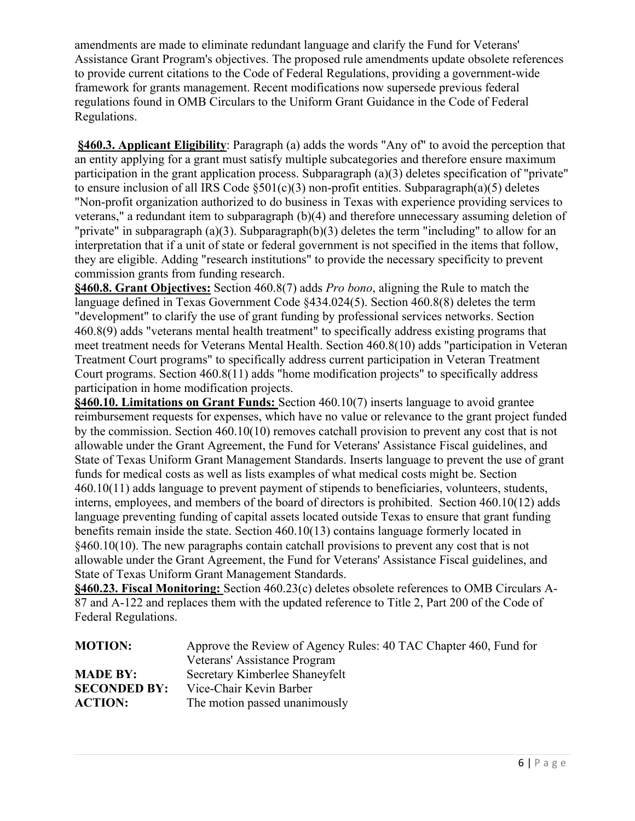amendments are made to eliminate redundant language and clarify the Fund for Veterans' Assistance Grant Program's objectives. The proposed rule amendments update obsolete references to provide current citations to the Code of Federal Regulations, providing a government-wide framework for grants management. Recent modifications now supersede previous federal regulations found in OMB Circulars to the Uniform Grant Guidance in the Code of Federal Regulations.

**§460.3. Applicant Eligibility**: Paragraph (a) adds the words "Any of" to avoid the perception that an entity applying for a grant must satisfy multiple subcategories and therefore ensure maximum participation in the grant application process. Subparagraph (a)(3) deletes specification of "private" to ensure inclusion of all IRS Code  $\S501(c)(3)$  non-profit entities. Subparagraph(a)(5) deletes "Non-profit organization authorized to do business in Texas with experience providing services to veterans," a redundant item to subparagraph (b)(4) and therefore unnecessary assuming deletion of "private" in subparagraph (a)(3). Subparagraph(b)(3) deletes the term "including" to allow for an interpretation that if a unit of state or federal government is not specified in the items that follow, they are eligible. Adding "research institutions" to provide the necessary specificity to prevent commission grants from funding research.

**§460.8. Grant Objectives:** Section 460.8(7) adds *Pro bono*, aligning the Rule to match the language defined in Texas Government Code §434.024(5). Section 460.8(8) deletes the term "development" to clarify the use of grant funding by professional services networks. Section 460.8(9) adds "veterans mental health treatment" to specifically address existing programs that meet treatment needs for Veterans Mental Health. Section 460.8(10) adds "participation in Veteran Treatment Court programs" to specifically address current participation in Veteran Treatment Court programs. Section 460.8(11) adds "home modification projects" to specifically address participation in home modification projects.

**§460.10. Limitations on Grant Funds:** Section 460.10(7) inserts language to avoid grantee reimbursement requests for expenses, which have no value or relevance to the grant project funded by the commission. Section 460.10(10) removes catchall provision to prevent any cost that is not allowable under the Grant Agreement, the Fund for Veterans' Assistance Fiscal guidelines, and State of Texas Uniform Grant Management Standards. Inserts language to prevent the use of grant funds for medical costs as well as lists examples of what medical costs might be. Section 460.10(11) adds language to prevent payment of stipends to beneficiaries, volunteers, students, interns, employees, and members of the board of directors is prohibited. Section 460.10(12) adds language preventing funding of capital assets located outside Texas to ensure that grant funding benefits remain inside the state. Section 460.10(13) contains language formerly located in §460.10(10). The new paragraphs contain catchall provisions to prevent any cost that is not allowable under the Grant Agreement, the Fund for Veterans' Assistance Fiscal guidelines, and State of Texas Uniform Grant Management Standards.

**§460.23. Fiscal Monitoring:** Section 460.23(c) deletes obsolete references to OMB Circulars A-87 and A-122 and replaces them with the updated reference to Title 2, Part 200 of the Code of Federal Regulations.

| <b>MOTION:</b>      | Approve the Review of Agency Rules: 40 TAC Chapter 460, Fund for |
|---------------------|------------------------------------------------------------------|
|                     | Veterans' Assistance Program                                     |
| <b>MADE BY:</b>     | Secretary Kimberlee Shaneyfelt                                   |
| <b>SECONDED BY:</b> | Vice-Chair Kevin Barber                                          |
| <b>ACTION:</b>      | The motion passed unanimously                                    |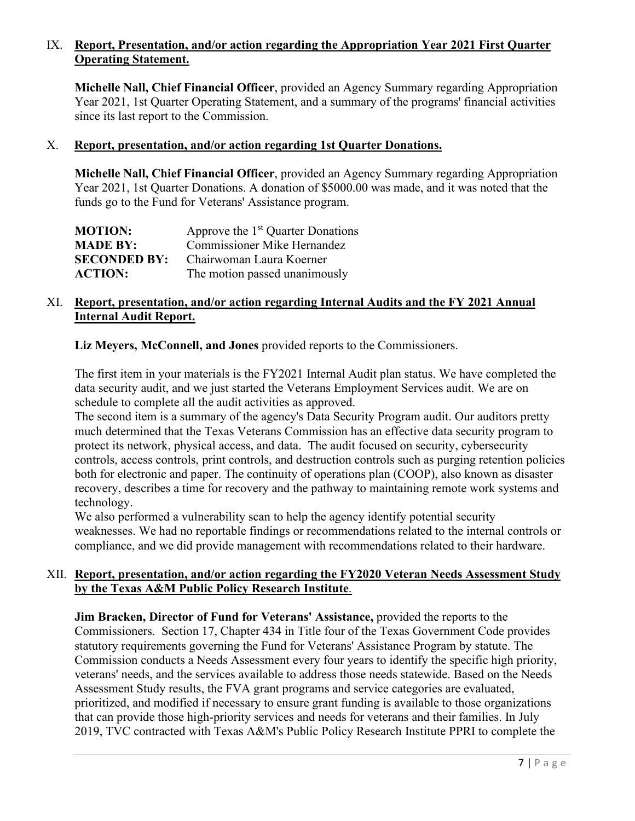# IX. **Report, Presentation, and/or action regarding the Appropriation Year 2021 First Quarter Operating Statement.**

**Michelle Nall, Chief Financial Officer**, provided an Agency Summary regarding Appropriation Year 2021, 1st Quarter Operating Statement, and a summary of the programs' financial activities since its last report to the Commission.

#### X. **Report, presentation, and/or action regarding 1st Quarter Donations.**

**Michelle Nall, Chief Financial Officer**, provided an Agency Summary regarding Appropriation Year 2021, 1st Quarter Donations. A donation of \$5000.00 was made, and it was noted that the funds go to the Fund for Veterans' Assistance program.

| <b>MOTION:</b>      | Approve the 1 <sup>st</sup> Quarter Donations |
|---------------------|-----------------------------------------------|
| <b>MADE BY:</b>     | <b>Commissioner Mike Hernandez</b>            |
| <b>SECONDED BY:</b> | Chairwoman Laura Koerner                      |
| <b>ACTION:</b>      | The motion passed unanimously                 |

## XI. **Report, presentation, and/or action regarding Internal Audits and the FY 2021 Annual Internal Audit Report.**

**Liz Meyers, McConnell, and Jones** provided reports to the Commissioners.

The first item in your materials is the FY2021 Internal Audit plan status. We have completed the data security audit, and we just started the Veterans Employment Services audit. We are on schedule to complete all the audit activities as approved.

The second item is a summary of the agency's Data Security Program audit. Our auditors pretty much determined that the Texas Veterans Commission has an effective data security program to protect its network, physical access, and data. The audit focused on security, cybersecurity controls, access controls, print controls, and destruction controls such as purging retention policies both for electronic and paper. The continuity of operations plan (COOP), also known as disaster recovery, describes a time for recovery and the pathway to maintaining remote work systems and technology.

We also performed a vulnerability scan to help the agency identify potential security weaknesses. We had no reportable findings or recommendations related to the internal controls or compliance, and we did provide management with recommendations related to their hardware.

#### XII. **Report, presentation, and/or action regarding the FY2020 Veteran Needs Assessment Study by the Texas A&M Public Policy Research Institute**.

**Jim Bracken, Director of Fund for Veterans' Assistance,** provided the reports to the Commissioners. Section 17, Chapter 434 in Title four of the Texas Government Code provides statutory requirements governing the Fund for Veterans' Assistance Program by statute. The Commission conducts a Needs Assessment every four years to identify the specific high priority, veterans' needs, and the services available to address those needs statewide. Based on the Needs Assessment Study results, the FVA grant programs and service categories are evaluated, prioritized, and modified if necessary to ensure grant funding is available to those organizations that can provide those high-priority services and needs for veterans and their families. In July 2019, TVC contracted with Texas A&M's Public Policy Research Institute PPRI to complete the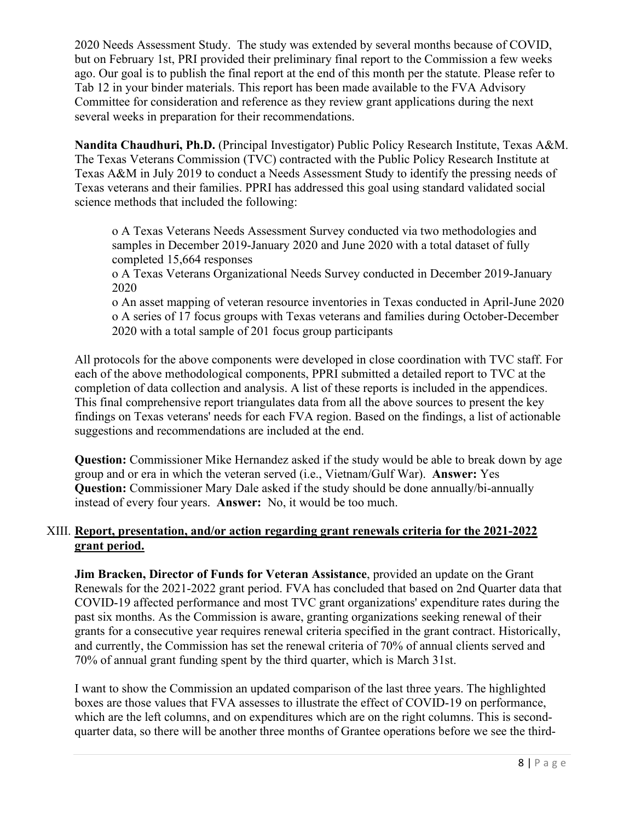2020 Needs Assessment Study. The study was extended by several months because of COVID, but on February 1st, PRI provided their preliminary final report to the Commission a few weeks ago. Our goal is to publish the final report at the end of this month per the statute. Please refer to Tab 12 in your binder materials. This report has been made available to the FVA Advisory Committee for consideration and reference as they review grant applications during the next several weeks in preparation for their recommendations.

**Nandita Chaudhuri, Ph.D.** (Principal Investigator) Public Policy Research Institute, Texas A&M. The Texas Veterans Commission (TVC) contracted with the Public Policy Research Institute at Texas A&M in July 2019 to conduct a Needs Assessment Study to identify the pressing needs of Texas veterans and their families. PPRI has addressed this goal using standard validated social science methods that included the following:

o A Texas Veterans Needs Assessment Survey conducted via two methodologies and samples in December 2019-January 2020 and June 2020 with a total dataset of fully completed 15,664 responses

o A Texas Veterans Organizational Needs Survey conducted in December 2019-January 2020

o An asset mapping of veteran resource inventories in Texas conducted in April-June 2020 o A series of 17 focus groups with Texas veterans and families during October-December 2020 with a total sample of 201 focus group participants

All protocols for the above components were developed in close coordination with TVC staff. For each of the above methodological components, PPRI submitted a detailed report to TVC at the completion of data collection and analysis. A list of these reports is included in the appendices. This final comprehensive report triangulates data from all the above sources to present the key findings on Texas veterans' needs for each FVA region. Based on the findings, a list of actionable suggestions and recommendations are included at the end.

**Question:** Commissioner Mike Hernandez asked if the study would be able to break down by age group and or era in which the veteran served (i.e., Vietnam/Gulf War). **Answer:** Yes **Question:** Commissioner Mary Dale asked if the study should be done annually/bi-annually instead of every four years. **Answer:** No, it would be too much.

# XIII. **Report, presentation, and/or action regarding grant renewals criteria for the 2021-2022 grant period.**

**Jim Bracken, Director of Funds for Veteran Assistance**, provided an update on the Grant Renewals for the 2021-2022 grant period. FVA has concluded that based on 2nd Quarter data that COVID-19 affected performance and most TVC grant organizations' expenditure rates during the past six months. As the Commission is aware, granting organizations seeking renewal of their grants for a consecutive year requires renewal criteria specified in the grant contract. Historically, and currently, the Commission has set the renewal criteria of 70% of annual clients served and 70% of annual grant funding spent by the third quarter, which is March 31st.

I want to show the Commission an updated comparison of the last three years. The highlighted boxes are those values that FVA assesses to illustrate the effect of COVID-19 on performance, which are the left columns, and on expenditures which are on the right columns. This is secondquarter data, so there will be another three months of Grantee operations before we see the third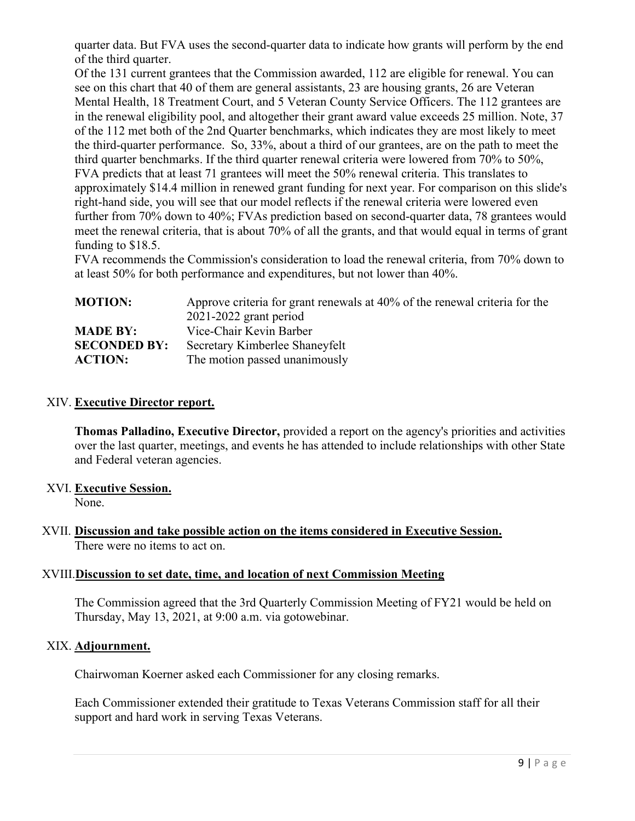quarter data. But FVA uses the second-quarter data to indicate how grants will perform by the end of the third quarter.

Of the 131 current grantees that the Commission awarded, 112 are eligible for renewal. You can see on this chart that 40 of them are general assistants, 23 are housing grants, 26 are Veteran Mental Health, 18 Treatment Court, and 5 Veteran County Service Officers. The 112 grantees are in the renewal eligibility pool, and altogether their grant award value exceeds 25 million. Note, 37 of the 112 met both of the 2nd Quarter benchmarks, which indicates they are most likely to meet the third-quarter performance. So, 33%, about a third of our grantees, are on the path to meet the third quarter benchmarks. If the third quarter renewal criteria were lowered from 70% to 50%, FVA predicts that at least 71 grantees will meet the 50% renewal criteria. This translates to approximately \$14.4 million in renewed grant funding for next year. For comparison on this slide's right-hand side, you will see that our model reflects if the renewal criteria were lowered even further from 70% down to 40%; FVAs prediction based on second-quarter data, 78 grantees would meet the renewal criteria, that is about 70% of all the grants, and that would equal in terms of grant funding to \$18.5.

FVA recommends the Commission's consideration to load the renewal criteria, from 70% down to at least 50% for both performance and expenditures, but not lower than 40%.

| <b>MOTION:</b>      | Approve criteria for grant renewals at 40% of the renewal criteria for the |
|---------------------|----------------------------------------------------------------------------|
|                     | $2021 - 2022$ grant period                                                 |
| <b>MADE BY:</b>     | Vice-Chair Kevin Barber                                                    |
| <b>SECONDED BY:</b> | Secretary Kimberlee Shaneyfelt                                             |
| <b>ACTION:</b>      | The motion passed unanimously                                              |

#### XIV. **Executive Director report.**

**Thomas Palladino, Executive Director,** provided a report on the agency's priorities and activities over the last quarter, meetings, and events he has attended to include relationships with other State and Federal veteran agencies.

# XVI. **Executive Session.**

None.

# XVII. **Discussion and take possible action on the items considered in Executive Session.** There were no items to act on.

# XVIII.**Discussion to set date, time, and location of next Commission Meeting**

The Commission agreed that the 3rd Quarterly Commission Meeting of FY21 would be held on Thursday, May 13, 2021, at 9:00 a.m. via gotowebinar.

# XIX. **Adjournment.**

Chairwoman Koerner asked each Commissioner for any closing remarks.

Each Commissioner extended their gratitude to Texas Veterans Commission staff for all their support and hard work in serving Texas Veterans.